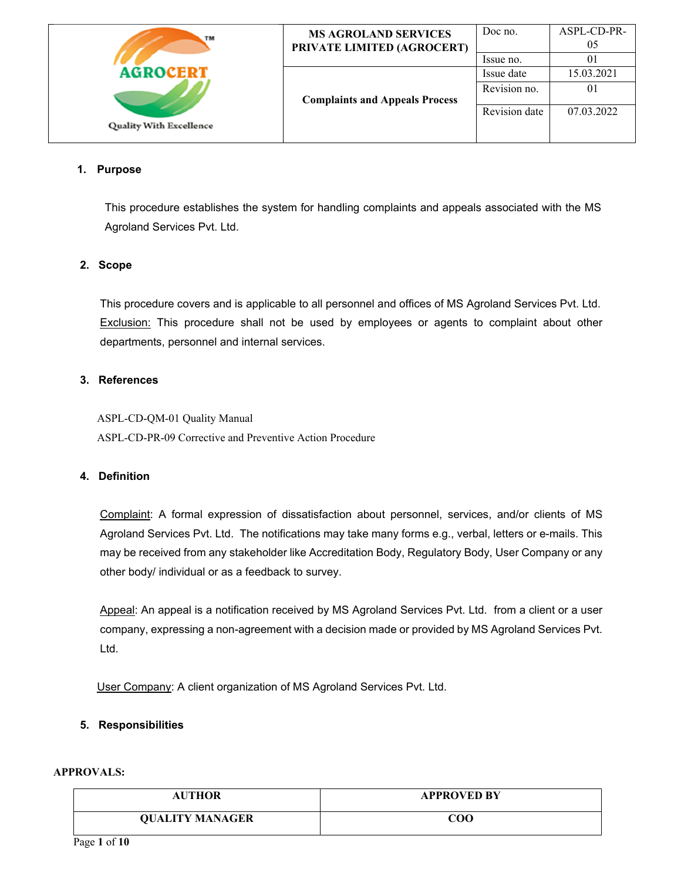| TM                             | <b>MS AGROLAND SERVICES</b><br>PRIVATE LIMITED (AGROCERT) | Doc no.<br>Issue no.       | ASPL-CD-PR-<br>05<br>01 |
|--------------------------------|-----------------------------------------------------------|----------------------------|-------------------------|
| <b>AGROCERT</b>                | <b>Complaints and Appeals Process</b>                     | Issue date<br>Revision no. | 15.03.2021<br>01        |
| <b>Quality With Excellence</b> |                                                           | Revision date              | 07.03.2022              |

## **1. Purpose**

This procedure establishes the system for handling complaints and appeals associated with the MS Agroland Services Pvt. Ltd.

## **2. Scope**

This procedure covers and is applicable to all personnel and offices of MS Agroland Services Pvt. Ltd. **Exclusion:** This procedure shall not be used by employees or agents to complaint about other departments, personnel and internal services.

#### **3. References**

ASPL-CD-QM-01 Quality Manual ASPL-CD-PR-09 Corrective and Preventive Action Procedure

## **4. Definition**

Complaint: A formal expression of dissatisfaction about personnel, services, and/or clients of MS Agroland Services Pvt. Ltd. The notifications may take many forms e.g., verbal, letters or e-mails. This may be received from any stakeholder like Accreditation Body, Regulatory Body, User Company or any other body/ individual or as a feedback to survey.

Appeal: An appeal is a notification received by MS Agroland Services Pvt. Ltd. from a client or a user company, expressing a non-agreement with a decision made or provided by MS Agroland Services Pvt. Ltd.

User Company: A client organization of MS Agroland Services Pvt. Ltd.

## **5. Responsibilities**

| <b>AUTHOR</b>          | <b>APPROVED BY</b> |
|------------------------|--------------------|
| <b>QUALITY MANAGER</b> | COO                |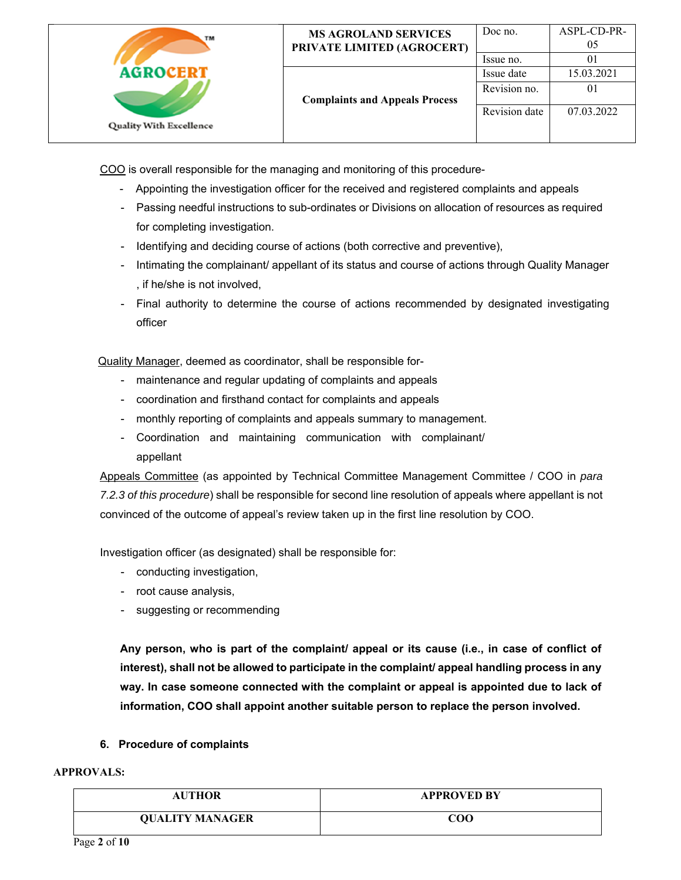| TM                             | <b>MS AGROLAND SERVICES</b><br>PRIVATE LIMITED (AGROCERT) | Doc no.<br>Issue no.       | ASPL-CD-PR-<br>05<br>01 |
|--------------------------------|-----------------------------------------------------------|----------------------------|-------------------------|
| <b>AGROCERT</b>                | <b>Complaints and Appeals Process</b>                     | Issue date<br>Revision no. | 15.03.2021<br>01        |
| <b>Quality With Excellence</b> |                                                           | Revision date              | 07.03.2022              |

COO is overall responsible for the managing and monitoring of this procedure-

- Appointing the investigation officer for the received and registered complaints and appeals
- Passing needful instructions to sub-ordinates or Divisions on allocation of resources as required for completing investigation.
- Identifying and deciding course of actions (both corrective and preventive),
- Intimating the complainant/ appellant of its status and course of actions through Quality Manager , if he/she is not involved,
- Final authority to determine the course of actions recommended by designated investigating officer

Quality Manager, deemed as coordinator, shall be responsible for-

- maintenance and regular updating of complaints and appeals
- coordination and firsthand contact for complaints and appeals
- monthly reporting of complaints and appeals summary to management.
- Coordination and maintaining communication with complainant/ appellant

Appeals Committee (as appointed by Technical Committee Management Committee / COO in *para 7.2.3 of this procedure*) shall be responsible for second line resolution of appeals where appellant is not convinced of the outcome of appeal's review taken up in the first line resolution by COO.

Investigation officer (as designated) shall be responsible for:

- conducting investigation,
- root cause analysis,
- suggesting or recommending

**Any person, who is part of the complaint/ appeal or its cause (i.e., in case of conflict of interest), shall not be allowed to participate in the complaint/ appeal handling process in any way. In case someone connected with the complaint or appeal is appointed due to lack of information, COO shall appoint another suitable person to replace the person involved.** 

# **6. Procedure of complaints**

| <b>AUTHOR</b>          | <b>APPROVED BY</b> |
|------------------------|--------------------|
| <b>QUALITY MANAGER</b> | COO                |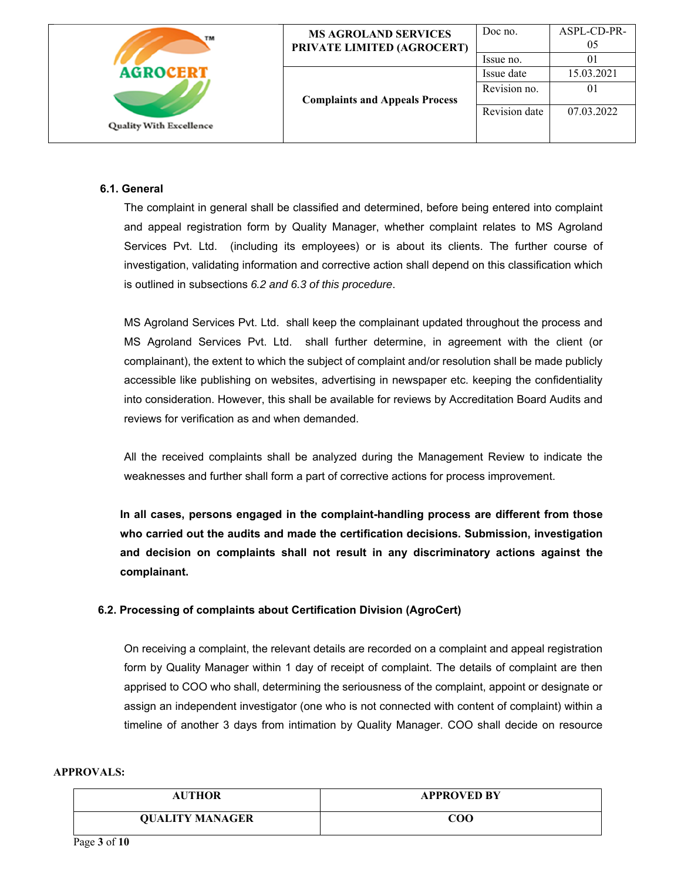| TM                             | <b>MS AGROLAND SERVICES</b><br>PRIVATE LIMITED (AGROCERT) | Doc no.                                 | ASPL-CD-PR-<br>05      |
|--------------------------------|-----------------------------------------------------------|-----------------------------------------|------------------------|
| <b>AGROCERT</b>                | <b>Complaints and Appeals Process</b>                     | Issue no.<br>Issue date<br>Revision no. | 01<br>15.03.2021<br>01 |
| <b>Quality With Excellence</b> |                                                           | Revision date                           | 07.03.2022             |

#### **6.1. General**

The complaint in general shall be classified and determined, before being entered into complaint and appeal registration form by Quality Manager, whether complaint relates to MS Agroland Services Pvt. Ltd. (including its employees) or is about its clients. The further course of investigation, validating information and corrective action shall depend on this classification which is outlined in subsections *6.2 and 6.3 of this procedure*.

MS Agroland Services Pvt. Ltd. shall keep the complainant updated throughout the process and MS Agroland Services Pvt. Ltd. shall further determine, in agreement with the client (or complainant), the extent to which the subject of complaint and/or resolution shall be made publicly accessible like publishing on websites, advertising in newspaper etc. keeping the confidentiality into consideration. However, this shall be available for reviews by Accreditation Board Audits and reviews for verification as and when demanded.

All the received complaints shall be analyzed during the Management Review to indicate the weaknesses and further shall form a part of corrective actions for process improvement.

**In all cases, persons engaged in the complaint-handling process are different from those who carried out the audits and made the certification decisions. Submission, investigation and decision on complaints shall not result in any discriminatory actions against the complainant.** 

## **6.2. Processing of complaints about Certification Division (AgroCert)**

On receiving a complaint, the relevant details are recorded on a complaint and appeal registration form by Quality Manager within 1 day of receipt of complaint. The details of complaint are then apprised to COO who shall, determining the seriousness of the complaint, appoint or designate or assign an independent investigator (one who is not connected with content of complaint) within a timeline of another 3 days from intimation by Quality Manager. COO shall decide on resource

| AUTHOR                 | <b>APPROVED BY</b> |
|------------------------|--------------------|
| <b>QUALITY MANAGER</b> | COO                |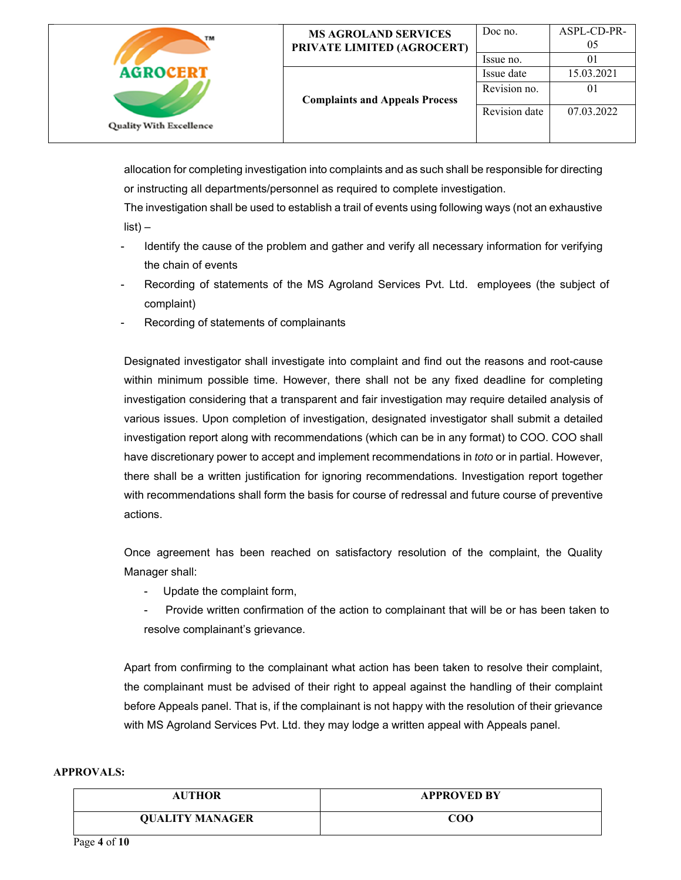| TM                             | <b>MS AGROLAND SERVICES</b><br>PRIVATE LIMITED (AGROCERT) | Doc no.<br>Issue no.       | ASPL-CD-PR-<br>05     |
|--------------------------------|-----------------------------------------------------------|----------------------------|-----------------------|
| <b>AGROCERT</b>                | <b>Complaints and Appeals Process</b>                     | Issue date<br>Revision no. | 15.03.2021<br>$_{01}$ |
| <b>Quality With Excellence</b> |                                                           | Revision date              | 07.03.2022            |

allocation for completing investigation into complaints and as such shall be responsible for directing or instructing all departments/personnel as required to complete investigation.

The investigation shall be used to establish a trail of events using following ways (not an exhaustive list) –

- Identify the cause of the problem and gather and verify all necessary information for verifying the chain of events
- Recording of statements of the MS Agroland Services Pvt. Ltd. employees (the subject of complaint)
- Recording of statements of complainants

Designated investigator shall investigate into complaint and find out the reasons and root-cause within minimum possible time. However, there shall not be any fixed deadline for completing investigation considering that a transparent and fair investigation may require detailed analysis of various issues. Upon completion of investigation, designated investigator shall submit a detailed investigation report along with recommendations (which can be in any format) to COO. COO shall have discretionary power to accept and implement recommendations in *toto* or in partial. However, there shall be a written justification for ignoring recommendations. Investigation report together with recommendations shall form the basis for course of redressal and future course of preventive actions.

Once agreement has been reached on satisfactory resolution of the complaint, the Quality Manager shall:

- Update the complaint form,
- Provide written confirmation of the action to complainant that will be or has been taken to resolve complainant's grievance.

Apart from confirming to the complainant what action has been taken to resolve their complaint, the complainant must be advised of their right to appeal against the handling of their complaint before Appeals panel. That is, if the complainant is not happy with the resolution of their grievance with MS Agroland Services Pvt. Ltd. they may lodge a written appeal with Appeals panel.

| <b>AUTHOR</b>          | <b>APPROVED BY</b> |
|------------------------|--------------------|
| <b>QUALITY MANAGER</b> | COO                |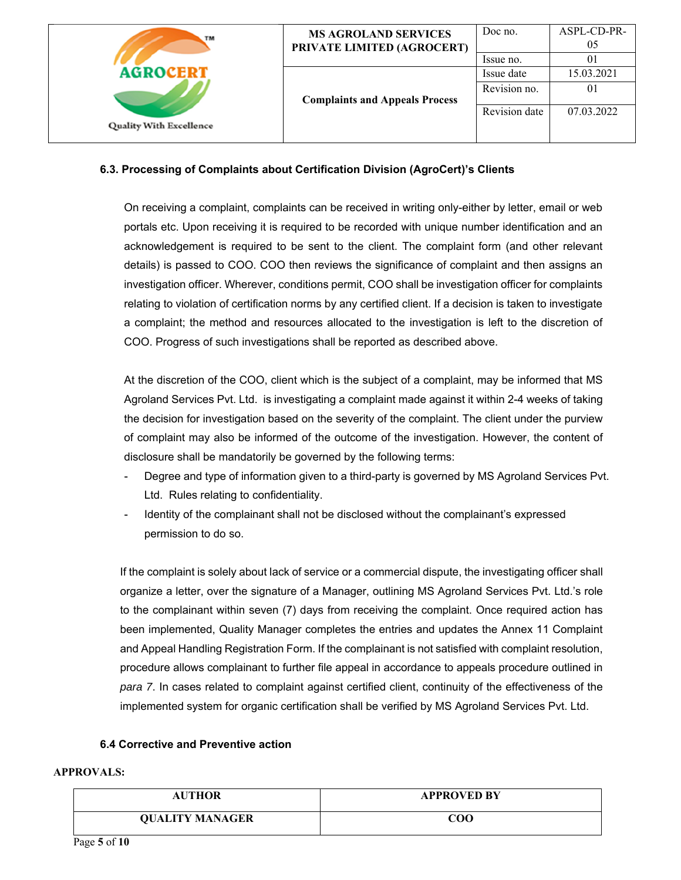| <b>TM</b>                      | <b>MS AGROLAND SERVICES</b><br>PRIVATE LIMITED (AGROCERT) | Doc no.<br>Issue no.       | ASPL-CD-PR-<br>05<br>01 |
|--------------------------------|-----------------------------------------------------------|----------------------------|-------------------------|
| <b>AGROCERT</b>                | <b>Complaints and Appeals Process</b>                     | Issue date<br>Revision no. | 15.03.2021<br>01        |
| <b>Quality With Excellence</b> |                                                           | Revision date              | 07.03.2022              |

#### **6.3. Processing of Complaints about Certification Division (AgroCert)'s Clients**

On receiving a complaint, complaints can be received in writing only-either by letter, email or web portals etc. Upon receiving it is required to be recorded with unique number identification and an acknowledgement is required to be sent to the client. The complaint form (and other relevant details) is passed to COO. COO then reviews the significance of complaint and then assigns an investigation officer. Wherever, conditions permit, COO shall be investigation officer for complaints relating to violation of certification norms by any certified client. If a decision is taken to investigate a complaint; the method and resources allocated to the investigation is left to the discretion of COO. Progress of such investigations shall be reported as described above.

At the discretion of the COO, client which is the subject of a complaint, may be informed that MS Agroland Services Pvt. Ltd. is investigating a complaint made against it within 2-4 weeks of taking the decision for investigation based on the severity of the complaint. The client under the purview of complaint may also be informed of the outcome of the investigation. However, the content of disclosure shall be mandatorily be governed by the following terms:

- Degree and type of information given to a third-party is governed by MS Agroland Services Pvt. Ltd. Rules relating to confidentiality.
- Identity of the complainant shall not be disclosed without the complainant's expressed permission to do so.

If the complaint is solely about lack of service or a commercial dispute, the investigating officer shall organize a letter, over the signature of a Manager, outlining MS Agroland Services Pvt. Ltd.'s role to the complainant within seven (7) days from receiving the complaint. Once required action has been implemented, Quality Manager completes the entries and updates the Annex 11 Complaint and Appeal Handling Registration Form. If the complainant is not satisfied with complaint resolution, procedure allows complainant to further file appeal in accordance to appeals procedure outlined in *para 7*. In cases related to complaint against certified client, continuity of the effectiveness of the implemented system for organic certification shall be verified by MS Agroland Services Pvt. Ltd.

#### **6.4 Corrective and Preventive action**

| <b>AUTHOR</b>          | <b>APPROVED BY</b> |
|------------------------|--------------------|
| <b>QUALITY MANAGER</b> | COO                |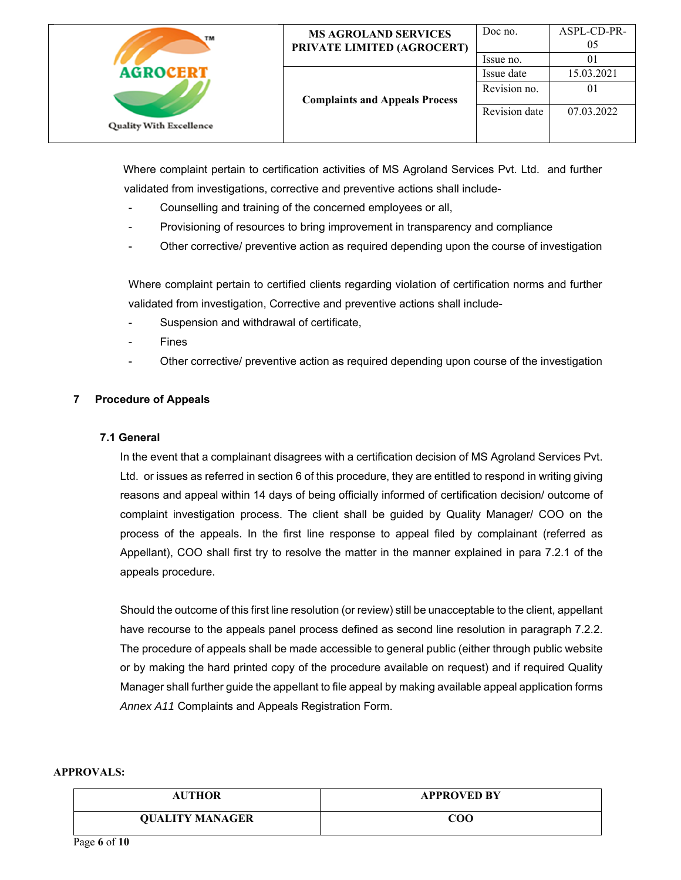| TM                             | <b>MS AGROLAND SERVICES</b><br>PRIVATE LIMITED (AGROCERT) | Doc no.<br>Issue no.       | ASPL-CD-PR-<br>05<br>01 |
|--------------------------------|-----------------------------------------------------------|----------------------------|-------------------------|
| <b>AGROCERT</b>                | <b>Complaints and Appeals Process</b>                     | Issue date<br>Revision no. | 15.03.2021<br>01        |
| <b>Quality With Excellence</b> |                                                           | Revision date              | 07.03.2022              |

Where complaint pertain to certification activities of MS Agroland Services Pvt. Ltd. and further validated from investigations, corrective and preventive actions shall include-

- Counselling and training of the concerned employees or all,
- Provisioning of resources to bring improvement in transparency and compliance
- Other corrective/ preventive action as required depending upon the course of investigation

Where complaint pertain to certified clients regarding violation of certification norms and further validated from investigation, Corrective and preventive actions shall include-

- Suspension and withdrawal of certificate,
- **Fines**
- Other corrective/ preventive action as required depending upon course of the investigation

## **7 Procedure of Appeals**

#### **7.1 General**

In the event that a complainant disagrees with a certification decision of MS Agroland Services Pvt. Ltd. or issues as referred in section 6 of this procedure, they are entitled to respond in writing giving reasons and appeal within 14 days of being officially informed of certification decision/ outcome of complaint investigation process. The client shall be guided by Quality Manager/ COO on the process of the appeals. In the first line response to appeal filed by complainant (referred as Appellant), COO shall first try to resolve the matter in the manner explained in para 7.2.1 of the appeals procedure.

Should the outcome of this first line resolution (or review) still be unacceptable to the client, appellant have recourse to the appeals panel process defined as second line resolution in paragraph 7.2.2. The procedure of appeals shall be made accessible to general public (either through public website or by making the hard printed copy of the procedure available on request) and if required Quality Manager shall further guide the appellant to file appeal by making available appeal application forms *Annex A11* Complaints and Appeals Registration Form.

| <b>AUTHOR</b>          | <b>APPROVED BY</b> |
|------------------------|--------------------|
| <b>QUALITY MANAGER</b> | COO                |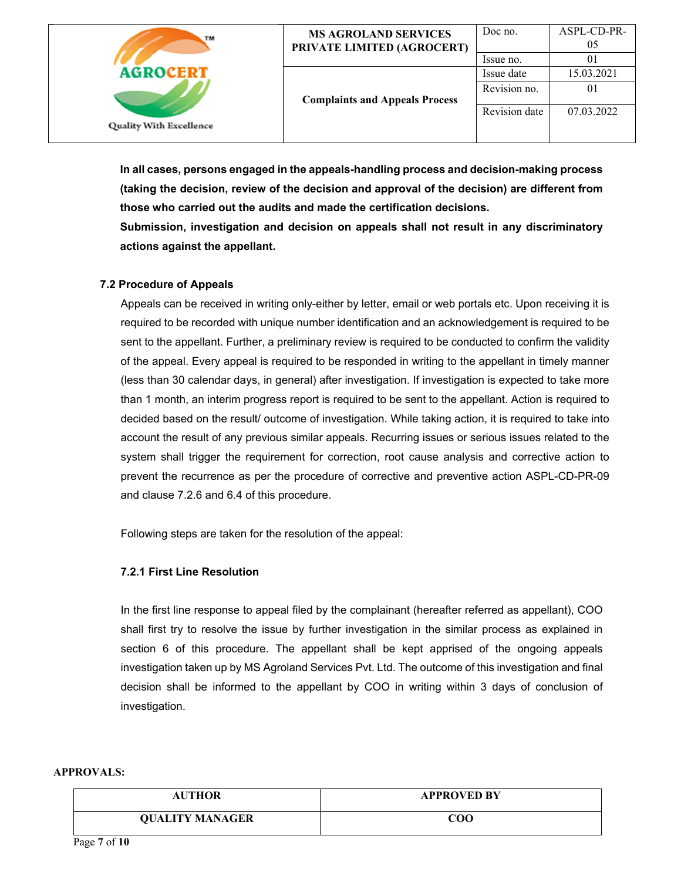| <b>TM</b>                      | <b>MS AGROLAND SERVICES</b><br>PRIVATE LIMITED (AGROCERT) | Doc no.<br>Issue no.       | ASPL-CD-PR-<br>05<br>01 |
|--------------------------------|-----------------------------------------------------------|----------------------------|-------------------------|
| <b>AGROCERT</b>                | <b>Complaints and Appeals Process</b>                     | Issue date<br>Revision no. | 15.03.2021<br>01        |
| <b>Quality With Excellence</b> |                                                           | Revision date              | 07.03.2022              |

**In all cases, persons engaged in the appeals-handling process and decision-making process (taking the decision, review of the decision and approval of the decision) are different from those who carried out the audits and made the certification decisions.** 

**Submission, investigation and decision on appeals shall not result in any discriminatory actions against the appellant.** 

## **7.2 Procedure of Appeals**

Appeals can be received in writing only-either by letter, email or web portals etc. Upon receiving it is required to be recorded with unique number identification and an acknowledgement is required to be sent to the appellant. Further, a preliminary review is required to be conducted to confirm the validity of the appeal. Every appeal is required to be responded in writing to the appellant in timely manner (less than 30 calendar days, in general) after investigation. If investigation is expected to take more than 1 month, an interim progress report is required to be sent to the appellant. Action is required to decided based on the result/ outcome of investigation. While taking action, it is required to take into account the result of any previous similar appeals. Recurring issues or serious issues related to the system shall trigger the requirement for correction, root cause analysis and corrective action to prevent the recurrence as per the procedure of corrective and preventive action ASPL-CD-PR-09 and clause 7.2.6 and 6.4 of this procedure.

Following steps are taken for the resolution of the appeal:

## **7.2.1 First Line Resolution**

In the first line response to appeal filed by the complainant (hereafter referred as appellant), COO shall first try to resolve the issue by further investigation in the similar process as explained in section 6 of this procedure. The appellant shall be kept apprised of the ongoing appeals investigation taken up by MS Agroland Services Pvt. Ltd. The outcome of this investigation and final decision shall be informed to the appellant by COO in writing within 3 days of conclusion of investigation.

| <b>AUTHOR</b>          | <b>APPROVED BY</b> |
|------------------------|--------------------|
| <b>QUALITY MANAGER</b> | COO                |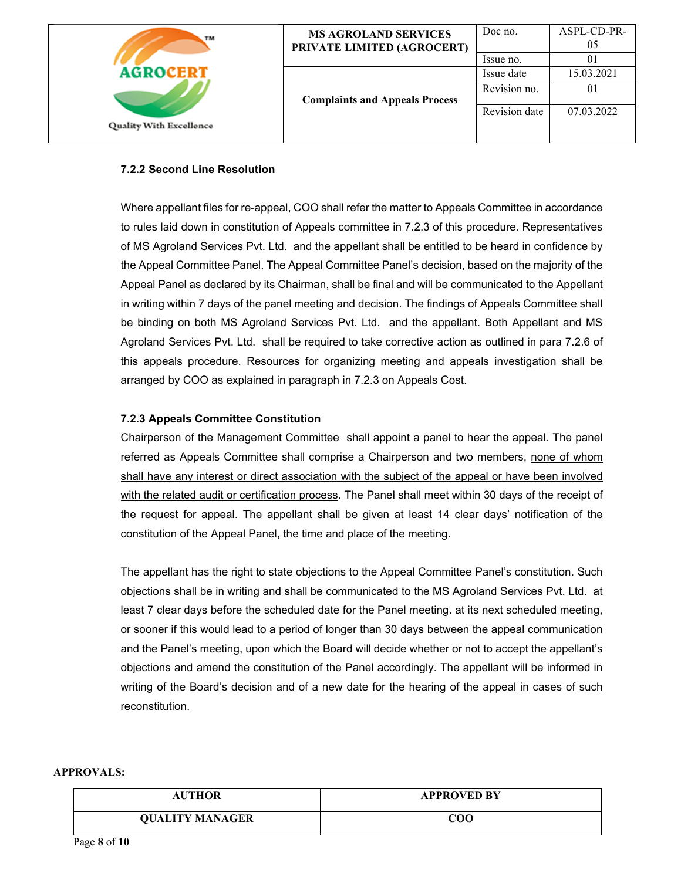| TM                             | <b>MS AGROLAND SERVICES</b><br>PRIVATE LIMITED (AGROCERT) | Doc no.                                 | ASPL-CD-PR-<br>05      |
|--------------------------------|-----------------------------------------------------------|-----------------------------------------|------------------------|
| <b>AGROCERT</b>                | <b>Complaints and Appeals Process</b>                     | Issue no.<br>Issue date<br>Revision no. | 01<br>15.03.2021<br>01 |
| <b>Quality With Excellence</b> |                                                           | Revision date                           | 07.03.2022             |

## **7.2.2 Second Line Resolution**

Where appellant files for re-appeal, COO shall refer the matter to Appeals Committee in accordance to rules laid down in constitution of Appeals committee in 7.2.3 of this procedure. Representatives of MS Agroland Services Pvt. Ltd. and the appellant shall be entitled to be heard in confidence by the Appeal Committee Panel. The Appeal Committee Panel's decision, based on the majority of the Appeal Panel as declared by its Chairman, shall be final and will be communicated to the Appellant in writing within 7 days of the panel meeting and decision. The findings of Appeals Committee shall be binding on both MS Agroland Services Pvt. Ltd. and the appellant. Both Appellant and MS Agroland Services Pvt. Ltd. shall be required to take corrective action as outlined in para 7.2.6 of this appeals procedure. Resources for organizing meeting and appeals investigation shall be arranged by COO as explained in paragraph in 7.2.3 on Appeals Cost.

# **7.2.3 Appeals Committee Constitution**

Chairperson of the Management Committee shall appoint a panel to hear the appeal. The panel referred as Appeals Committee shall comprise a Chairperson and two members, none of whom shall have any interest or direct association with the subject of the appeal or have been involved with the related audit or certification process. The Panel shall meet within 30 days of the receipt of the request for appeal. The appellant shall be given at least 14 clear days' notification of the constitution of the Appeal Panel, the time and place of the meeting.

The appellant has the right to state objections to the Appeal Committee Panel's constitution. Such objections shall be in writing and shall be communicated to the MS Agroland Services Pvt. Ltd. at least 7 clear days before the scheduled date for the Panel meeting. at its next scheduled meeting, or sooner if this would lead to a period of longer than 30 days between the appeal communication and the Panel's meeting, upon which the Board will decide whether or not to accept the appellant's objections and amend the constitution of the Panel accordingly. The appellant will be informed in writing of the Board's decision and of a new date for the hearing of the appeal in cases of such reconstitution.

| <b>AUTHOR</b>          | <b>APPROVED BY</b> |
|------------------------|--------------------|
| <b>QUALITY MANAGER</b> | COO                |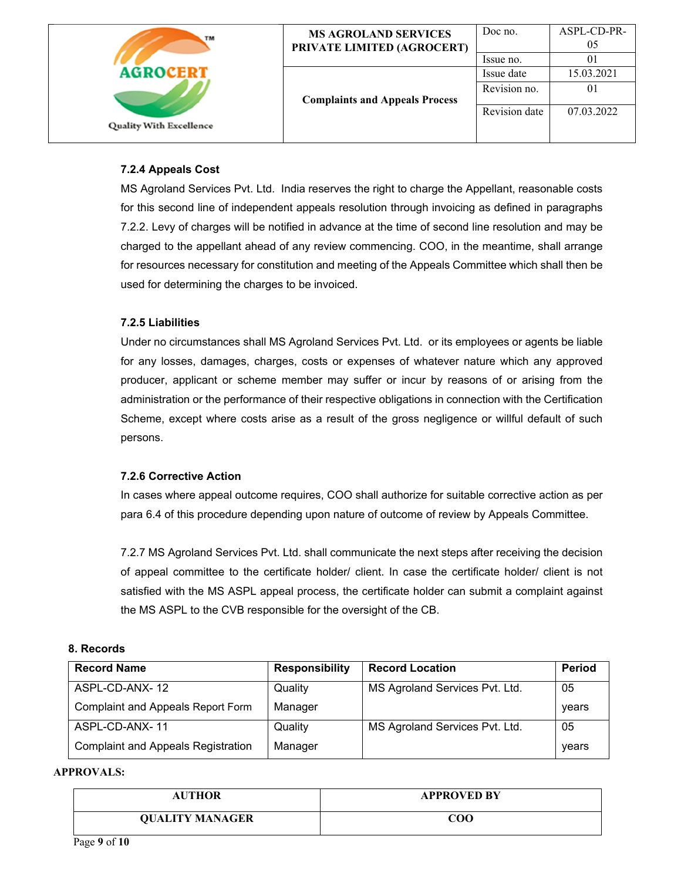| TM                             | <b>MS AGROLAND SERVICES</b><br>PRIVATE LIMITED (AGROCERT) | Doc no.<br>Issue no.       | ASPL-CD-PR-<br>05 |
|--------------------------------|-----------------------------------------------------------|----------------------------|-------------------|
| <b>AGROCERT</b>                | <b>Complaints and Appeals Process</b>                     | Issue date<br>Revision no. | 15.03.2021<br>01  |
| <b>Quality With Excellence</b> |                                                           | Revision date              | 07.03.2022        |

# **7.2.4 Appeals Cost**

MS Agroland Services Pvt. Ltd. India reserves the right to charge the Appellant, reasonable costs for this second line of independent appeals resolution through invoicing as defined in paragraphs 7.2.2. Levy of charges will be notified in advance at the time of second line resolution and may be charged to the appellant ahead of any review commencing. COO, in the meantime, shall arrange for resources necessary for constitution and meeting of the Appeals Committee which shall then be used for determining the charges to be invoiced.

# **7.2.5 Liabilities**

Under no circumstances shall MS Agroland Services Pvt. Ltd. or its employees or agents be liable for any losses, damages, charges, costs or expenses of whatever nature which any approved producer, applicant or scheme member may suffer or incur by reasons of or arising from the administration or the performance of their respective obligations in connection with the Certification Scheme, except where costs arise as a result of the gross negligence or willful default of such persons.

## **7.2.6 Corrective Action**

In cases where appeal outcome requires, COO shall authorize for suitable corrective action as per para 6.4 of this procedure depending upon nature of outcome of review by Appeals Committee.

7.2.7 MS Agroland Services Pvt. Ltd. shall communicate the next steps after receiving the decision of appeal committee to the certificate holder/ client. In case the certificate holder/ client is not satisfied with the MS ASPL appeal process, the certificate holder can submit a complaint against the MS ASPL to the CVB responsible for the oversight of the CB.

## **8. Records**

| <b>Record Name</b>                        | <b>Responsibility</b> | <b>Record Location</b>         | <b>Period</b> |
|-------------------------------------------|-----------------------|--------------------------------|---------------|
| ASPL-CD-ANX-12                            | Quality               | MS Agroland Services Pvt. Ltd. | 05            |
| <b>Complaint and Appeals Report Form</b>  | Manager               |                                | years         |
| ASPL-CD-ANX-11                            | Quality               | MS Agroland Services Pvt. Ltd. | 05            |
| <b>Complaint and Appeals Registration</b> | Manager               |                                | years         |

| <b>AUTHOR</b>          | <b>APPROVED BY</b> |
|------------------------|--------------------|
| <b>QUALITY MANAGER</b> | COO                |